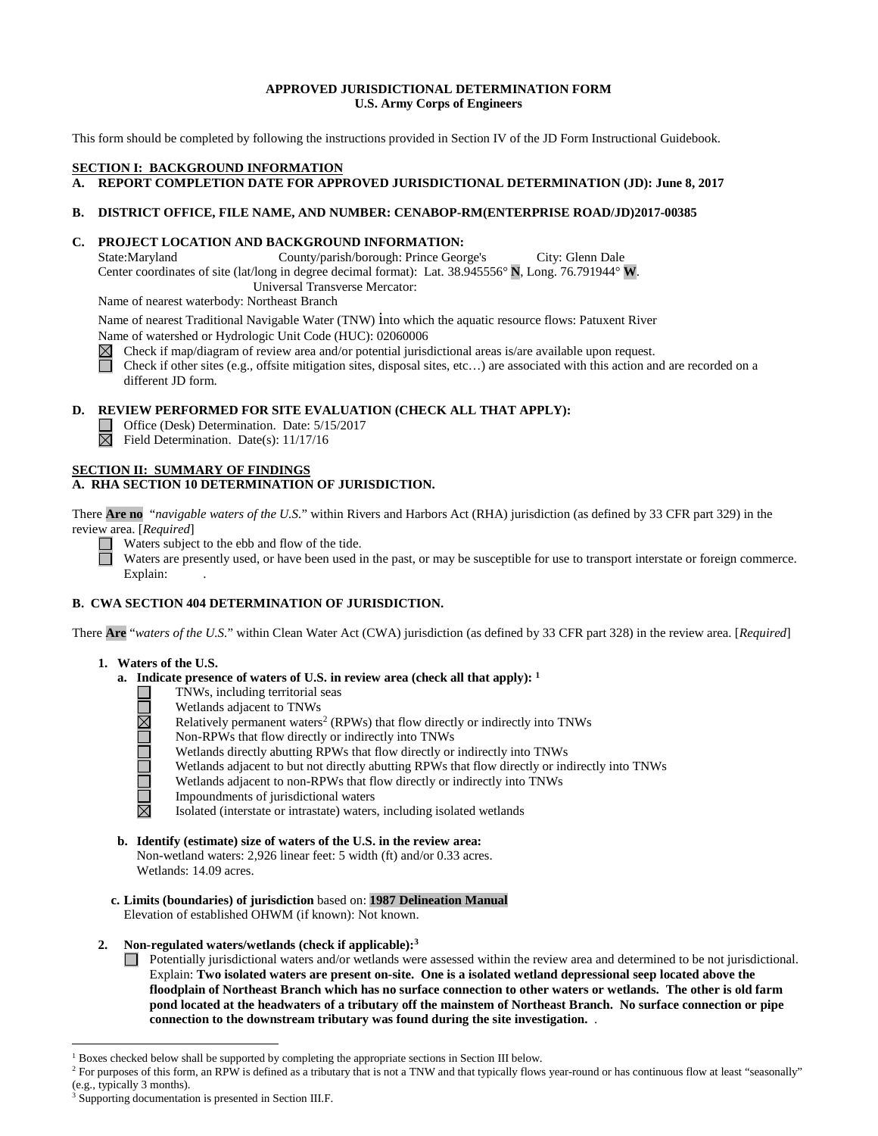## **APPROVED JURISDICTIONAL DETERMINATION FORM U.S. Army Corps of Engineers**

This form should be completed by following the instructions provided in Section IV of the JD Form Instructional Guidebook.

# **SECTION I: BACKGROUND INFORMATION**

**A. REPORT COMPLETION DATE FOR APPROVED JURISDICTIONAL DETERMINATION (JD): June 8, 2017** 

### **B. DISTRICT OFFICE, FILE NAME, AND NUMBER: CENABOP-RM(ENTERPRISE ROAD/JD)2017-00385**

### **C. PROJECT LOCATION AND BACKGROUND INFORMATION:**

State:Maryland County/parish/borough: Prince George's City: Glenn Dale Center coordinates of site (lat/long in degree decimal format): Lat. 38.945556° **N**, Long. 76.791944° **W**. Universal Transverse Mercator:

Name of nearest waterbody: Northeast Branch

Name of nearest Traditional Navigable Water (TNW) into which the aquatic resource flows: Patuxent River Name of watershed or Hydrologic Unit Code (HUC): 02060006

Check if map/diagram of review area and/or potential jurisdictional areas is/are available upon request.  $\boxtimes$ 

П Check if other sites (e.g., offsite mitigation sites, disposal sites, etc…) are associated with this action and are recorded on a different JD form.

# **D. REVIEW PERFORMED FOR SITE EVALUATION (CHECK ALL THAT APPLY):**

Office (Desk) Determination. Date: 5/15/2017

 $\boxtimes$  Field Determination. Date(s): 11/17/16

#### **SECTION II: SUMMARY OF FINDINGS A. RHA SECTION 10 DETERMINATION OF JURISDICTION.**

There **Are no** "*navigable waters of the U.S.*" within Rivers and Harbors Act (RHA) jurisdiction (as defined by 33 CFR part 329) in the review area. [*Required*]

Waters subject to the ebb and flow of the tide.

Waters are presently used, or have been used in the past, or may be susceptible for use to transport interstate or foreign commerce. Explain:

# **B. CWA SECTION 404 DETERMINATION OF JURISDICTION.**

There **Are** "*waters of the U.S.*" within Clean Water Act (CWA) jurisdiction (as defined by 33 CFR part 328) in the review area. [*Required*]

#### **1. Waters of the U.S.**

**NOODOOMOO** 

- **a. Indicate presence of waters of U.S. in review area (check all that apply): <sup>1</sup>**
	- TNWs, including territorial seas
	- Wetlands adjacent to TNWs
	- Relatively permanent waters<sup>2</sup> (RPWs) that flow directly or indirectly into TNWs
	- Non-RPWs that flow directly or indirectly into TNWs
	- Wetlands directly abutting RPWs that flow directly or indirectly into TNWs
	- Wetlands adjacent to but not directly abutting RPWs that flow directly or indirectly into TNWs
	- Wetlands adjacent to non-RPWs that flow directly or indirectly into TNWs
	- Impoundments of jurisdictional waters
	- Isolated (interstate or intrastate) waters, including isolated wetlands
- **b. Identify (estimate) size of waters of the U.S. in the review area:** Non-wetland waters: 2,926 linear feet: 5 width (ft) and/or 0.33 acres. Wetlands: 14.09 acres.
- **c. Limits (boundaries) of jurisdiction** based on: **1987 Delineation Manual** Elevation of established OHWM (if known): Not known.
- **2. Non-regulated waters/wetlands (check if applicable):3**
	- Potentially jurisdictional waters and/or wetlands were assessed within the review area and determined to be not jurisdictional. Explain: **Two isolated waters are present on-site. One is a isolated wetland depressional seep located above the floodplain of Northeast Branch which has no surface connection to other waters or wetlands. The other is old farm pond located at the headwaters of a tributary off the mainstem of Northeast Branch. No surface connection or pipe connection to the downstream tributary was found during the site investigation.** .

<sup>&</sup>lt;sup>1</sup> Boxes checked below shall be supported by completing the appropriate sections in Section III below.

<sup>&</sup>lt;sup>2</sup> For purposes of this form, an RPW is defined as a tributary that is not a TNW and that typically flows year-round or has continuous flow at least "seasonally" (e.g., typically 3 months).

Supporting documentation is presented in Section III.F.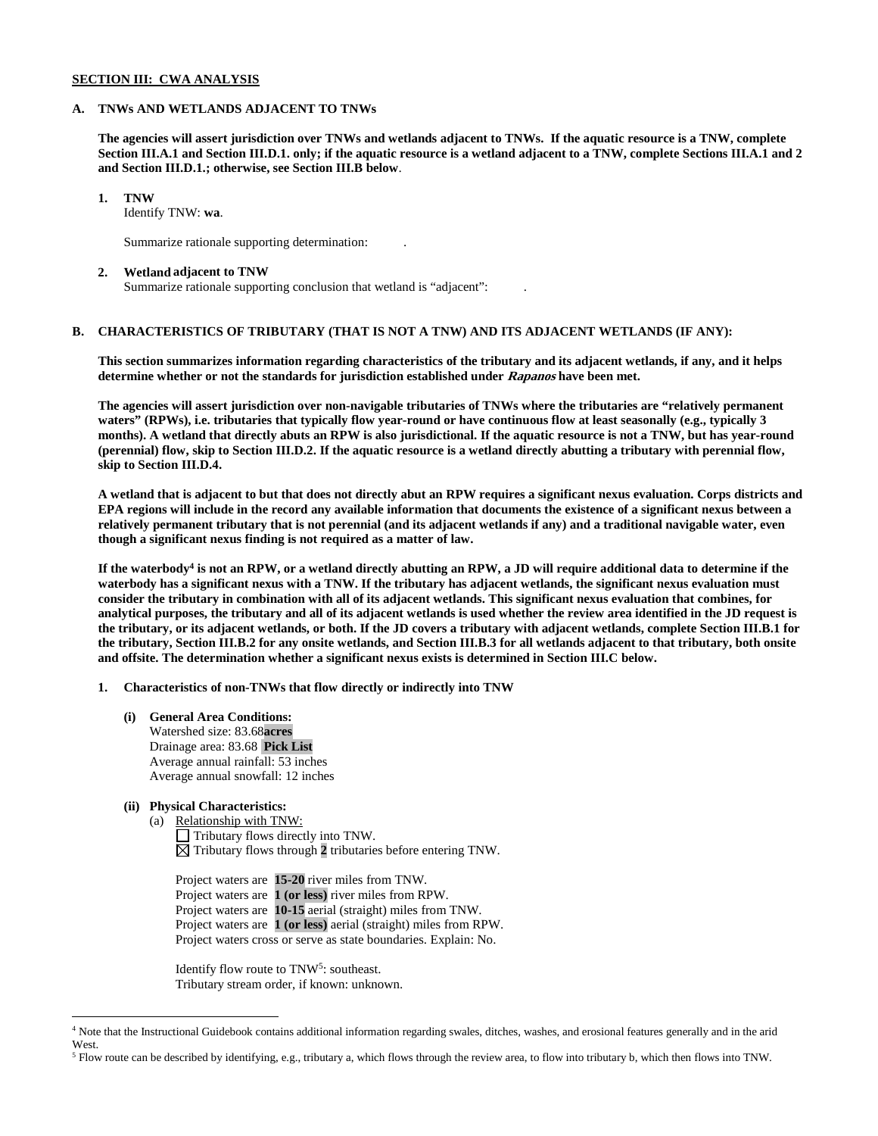### **SECTION III: CWA ANALYSIS**

### **A. TNWs AND WETLANDS ADJACENT TO TNWs**

**The agencies will assert jurisdiction over TNWs and wetlands adjacent to TNWs. If the aquatic resource is a TNW, complete Section III.A.1 and Section III.D.1. only; if the aquatic resource is a wetland adjacent to a TNW, complete Sections III.A.1 and 2 and Section III.D.1.; otherwise, see Section III.B below**.

**1. TNW** 

Identify TNW: **wa**.

Summarize rationale supporting determination: .

#### **2. Wetland adjacent to TNW**

Summarize rationale supporting conclusion that wetland is "adjacent": .

# **B. CHARACTERISTICS OF TRIBUTARY (THAT IS NOT A TNW) AND ITS ADJACENT WETLANDS (IF ANY):**

**This section summarizes information regarding characteristics of the tributary and its adjacent wetlands, if any, and it helps determine whether or not the standards for jurisdiction established under Rapanos have been met.** 

**The agencies will assert jurisdiction over non-navigable tributaries of TNWs where the tributaries are "relatively permanent waters" (RPWs), i.e. tributaries that typically flow year-round or have continuous flow at least seasonally (e.g., typically 3 months). A wetland that directly abuts an RPW is also jurisdictional. If the aquatic resource is not a TNW, but has year-round (perennial) flow, skip to Section III.D.2. If the aquatic resource is a wetland directly abutting a tributary with perennial flow, skip to Section III.D.4.**

**A wetland that is adjacent to but that does not directly abut an RPW requires a significant nexus evaluation. Corps districts and EPA regions will include in the record any available information that documents the existence of a significant nexus between a relatively permanent tributary that is not perennial (and its adjacent wetlands if any) and a traditional navigable water, even though a significant nexus finding is not required as a matter of law.**

**If the waterbody4 is not an RPW, or a wetland directly abutting an RPW, a JD will require additional data to determine if the waterbody has a significant nexus with a TNW. If the tributary has adjacent wetlands, the significant nexus evaluation must consider the tributary in combination with all of its adjacent wetlands. This significant nexus evaluation that combines, for analytical purposes, the tributary and all of its adjacent wetlands is used whether the review area identified in the JD request is the tributary, or its adjacent wetlands, or both. If the JD covers a tributary with adjacent wetlands, complete Section III.B.1 for the tributary, Section III.B.2 for any onsite wetlands, and Section III.B.3 for all wetlands adjacent to that tributary, both onsite and offsite. The determination whether a significant nexus exists is determined in Section III.C below.**

**1. Characteristics of non-TNWs that flow directly or indirectly into TNW**

**(i) General Area Conditions:** Watershed size: 83.68**acres** Drainage area: 83.68 **Pick List** Average annual rainfall: 53 inches Average annual snowfall: 12 inches

# **(ii) Physical Characteristics:**

(a) Relationship with TNW: Tributary flows directly into TNW.  $\boxtimes$  Tributary flows through 2 tributaries before entering TNW.

Project waters are **15-20** river miles from TNW. Project waters are **1 (or less)** river miles from RPW. Project waters are **10-15** aerial (straight) miles from TNW. Project waters are **1 (or less)** aerial (straight) miles from RPW. Project waters cross or serve as state boundaries. Explain: No.

Identify flow route to TNW<sup>5</sup>: southeast. Tributary stream order, if known: unknown.

 <sup>4</sup> Note that the Instructional Guidebook contains additional information regarding swales, ditches, washes, and erosional features generally and in the arid West.

<sup>5</sup> Flow route can be described by identifying, e.g., tributary a, which flows through the review area, to flow into tributary b, which then flows into TNW.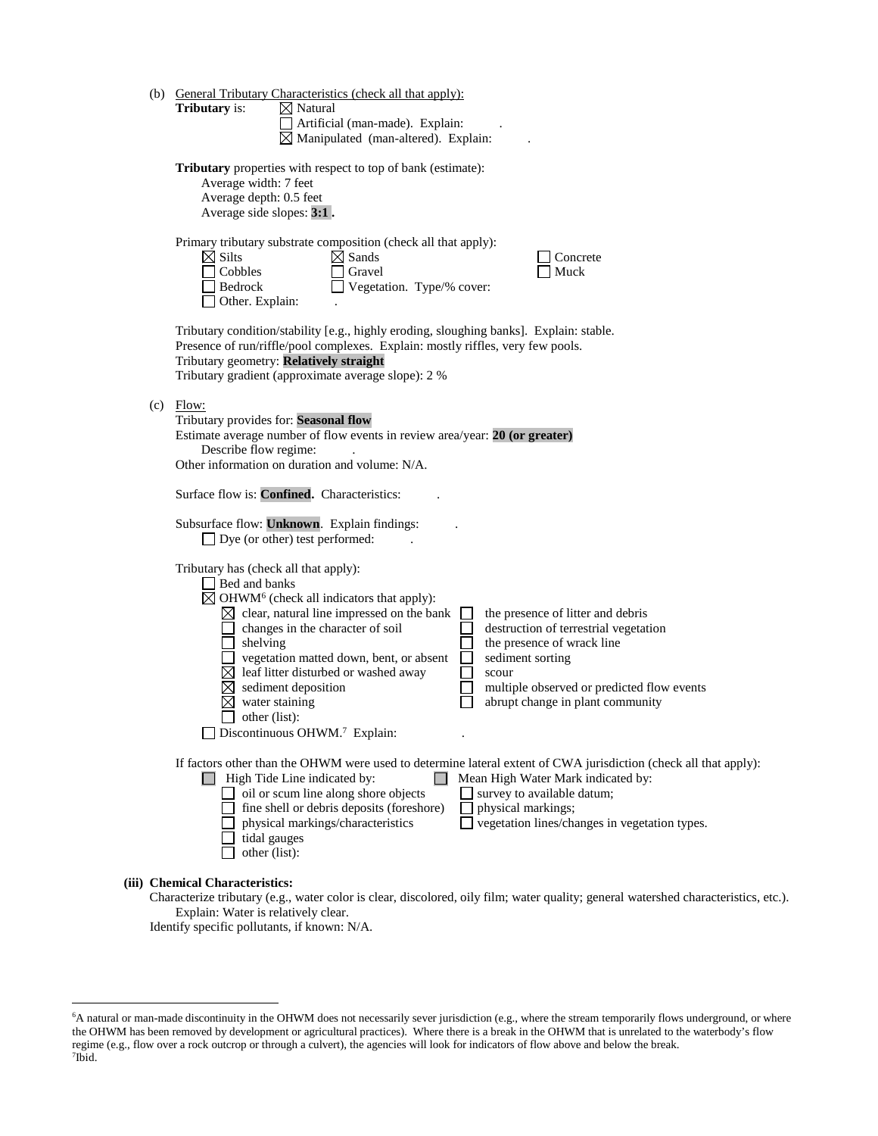| (b) |                                                                                                                                                                            | <b>General Tributary Characteristics (check all that apply):</b> |  |                                                                                                                  |  |  |  |
|-----|----------------------------------------------------------------------------------------------------------------------------------------------------------------------------|------------------------------------------------------------------|--|------------------------------------------------------------------------------------------------------------------|--|--|--|
|     | <b>Tributary</b> is:                                                                                                                                                       | $\boxtimes$ Natural                                              |  |                                                                                                                  |  |  |  |
|     |                                                                                                                                                                            |                                                                  |  |                                                                                                                  |  |  |  |
|     |                                                                                                                                                                            | $\boxtimes$ Manipulated (man-altered). Explain:                  |  |                                                                                                                  |  |  |  |
|     |                                                                                                                                                                            |                                                                  |  |                                                                                                                  |  |  |  |
|     | <b>Tributary</b> properties with respect to top of bank (estimate):                                                                                                        |                                                                  |  |                                                                                                                  |  |  |  |
|     | Average width: 7 feet                                                                                                                                                      |                                                                  |  |                                                                                                                  |  |  |  |
|     | Average depth: 0.5 feet                                                                                                                                                    |                                                                  |  |                                                                                                                  |  |  |  |
|     | Average side slopes: 3:1.                                                                                                                                                  |                                                                  |  |                                                                                                                  |  |  |  |
|     |                                                                                                                                                                            |                                                                  |  |                                                                                                                  |  |  |  |
|     |                                                                                                                                                                            | Primary tributary substrate composition (check all that apply):  |  |                                                                                                                  |  |  |  |
|     | $\boxtimes$ Silts                                                                                                                                                          | $\boxtimes$ Sands                                                |  | Concrete                                                                                                         |  |  |  |
|     | Cobbles                                                                                                                                                                    | Gravel                                                           |  | Muck                                                                                                             |  |  |  |
|     | Bedrock                                                                                                                                                                    | $\Box$ Vegetation. Type/% cover:                                 |  |                                                                                                                  |  |  |  |
|     | $\Box$ Other. Explain:                                                                                                                                                     |                                                                  |  |                                                                                                                  |  |  |  |
|     |                                                                                                                                                                            |                                                                  |  |                                                                                                                  |  |  |  |
|     | Tributary condition/stability [e.g., highly eroding, sloughing banks]. Explain: stable.<br>Presence of run/riffle/pool complexes. Explain: mostly riffles, very few pools. |                                                                  |  |                                                                                                                  |  |  |  |
|     |                                                                                                                                                                            |                                                                  |  |                                                                                                                  |  |  |  |
|     | Tributary geometry: Relatively straight<br>Tributary gradient (approximate average slope): 2 %                                                                             |                                                                  |  |                                                                                                                  |  |  |  |
|     |                                                                                                                                                                            |                                                                  |  |                                                                                                                  |  |  |  |
| (c) | Flow:                                                                                                                                                                      |                                                                  |  |                                                                                                                  |  |  |  |
|     | Tributary provides for: Seasonal flow                                                                                                                                      |                                                                  |  |                                                                                                                  |  |  |  |
|     | Estimate average number of flow events in review area/year: 20 (or greater)                                                                                                |                                                                  |  |                                                                                                                  |  |  |  |
|     | Describe flow regime:                                                                                                                                                      |                                                                  |  |                                                                                                                  |  |  |  |
|     | Other information on duration and volume: N/A.                                                                                                                             |                                                                  |  |                                                                                                                  |  |  |  |
|     |                                                                                                                                                                            |                                                                  |  |                                                                                                                  |  |  |  |
|     | Surface flow is: Confined. Characteristics:                                                                                                                                |                                                                  |  |                                                                                                                  |  |  |  |
|     | Subsurface flow: Unknown. Explain findings:                                                                                                                                |                                                                  |  |                                                                                                                  |  |  |  |
|     | $\Box$ Dye (or other) test performed:                                                                                                                                      |                                                                  |  |                                                                                                                  |  |  |  |
|     |                                                                                                                                                                            |                                                                  |  |                                                                                                                  |  |  |  |
|     | Tributary has (check all that apply):                                                                                                                                      |                                                                  |  |                                                                                                                  |  |  |  |
|     | Bed and banks                                                                                                                                                              |                                                                  |  |                                                                                                                  |  |  |  |
|     |                                                                                                                                                                            | $\boxtimes$ OHWM <sup>6</sup> (check all indicators that apply): |  |                                                                                                                  |  |  |  |
|     |                                                                                                                                                                            | $\boxtimes$ clear, natural line impressed on the bank            |  | the presence of litter and debris                                                                                |  |  |  |
|     |                                                                                                                                                                            | changes in the character of soil                                 |  | destruction of terrestrial vegetation                                                                            |  |  |  |
|     | shelving                                                                                                                                                                   |                                                                  |  | the presence of wrack line                                                                                       |  |  |  |
|     |                                                                                                                                                                            | vegetation matted down, bent, or absent                          |  | sediment sorting                                                                                                 |  |  |  |
|     |                                                                                                                                                                            | $\boxtimes$ leaf litter disturbed or washed away                 |  | scour                                                                                                            |  |  |  |
|     |                                                                                                                                                                            | sediment deposition                                              |  | multiple observed or predicted flow events                                                                       |  |  |  |
|     | water staining                                                                                                                                                             |                                                                  |  | abrupt change in plant community                                                                                 |  |  |  |
|     | other (list):                                                                                                                                                              |                                                                  |  |                                                                                                                  |  |  |  |
|     |                                                                                                                                                                            | $\Box$ Discontinuous OHWM. <sup>7</sup> Explain:                 |  |                                                                                                                  |  |  |  |
|     |                                                                                                                                                                            |                                                                  |  |                                                                                                                  |  |  |  |
|     |                                                                                                                                                                            |                                                                  |  | If factors other than the OHWM were used to determine lateral extent of CWA jurisdiction (check all that apply): |  |  |  |
|     | $\Box$ High Tide Line indicated by:                                                                                                                                        | oil or scum line along shore objects                             |  | Mean High Water Mark indicated by:<br>$\Box$ survey to available datum;                                          |  |  |  |
|     |                                                                                                                                                                            | fine shell or debris deposits (foreshore)                        |  |                                                                                                                  |  |  |  |
|     |                                                                                                                                                                            | physical markings/characteristics                                |  | physical markings;<br>vegetation lines/changes in vegetation types.                                              |  |  |  |
|     | tidal gauges                                                                                                                                                               |                                                                  |  |                                                                                                                  |  |  |  |
|     | other (list):                                                                                                                                                              |                                                                  |  |                                                                                                                  |  |  |  |
|     |                                                                                                                                                                            |                                                                  |  |                                                                                                                  |  |  |  |
|     | (iii) Chemical Characteristics:                                                                                                                                            |                                                                  |  |                                                                                                                  |  |  |  |

Characterize tributary (e.g., water color is clear, discolored, oily film; water quality; general watershed characteristics, etc.). Explain: Water is relatively clear.

Identify specific pollutants, if known: N/A.

 <sup>6</sup> <sup>6</sup>A natural or man-made discontinuity in the OHWM does not necessarily sever jurisdiction (e.g., where the stream temporarily flows underground, or where the OHWM has been removed by development or agricultural practices). Where there is a break in the OHWM that is unrelated to the waterbody's flow regime (e.g., flow over a rock outcrop or through a culvert), the agencies will look for indicators of flow above and below the break. 7 Ibid.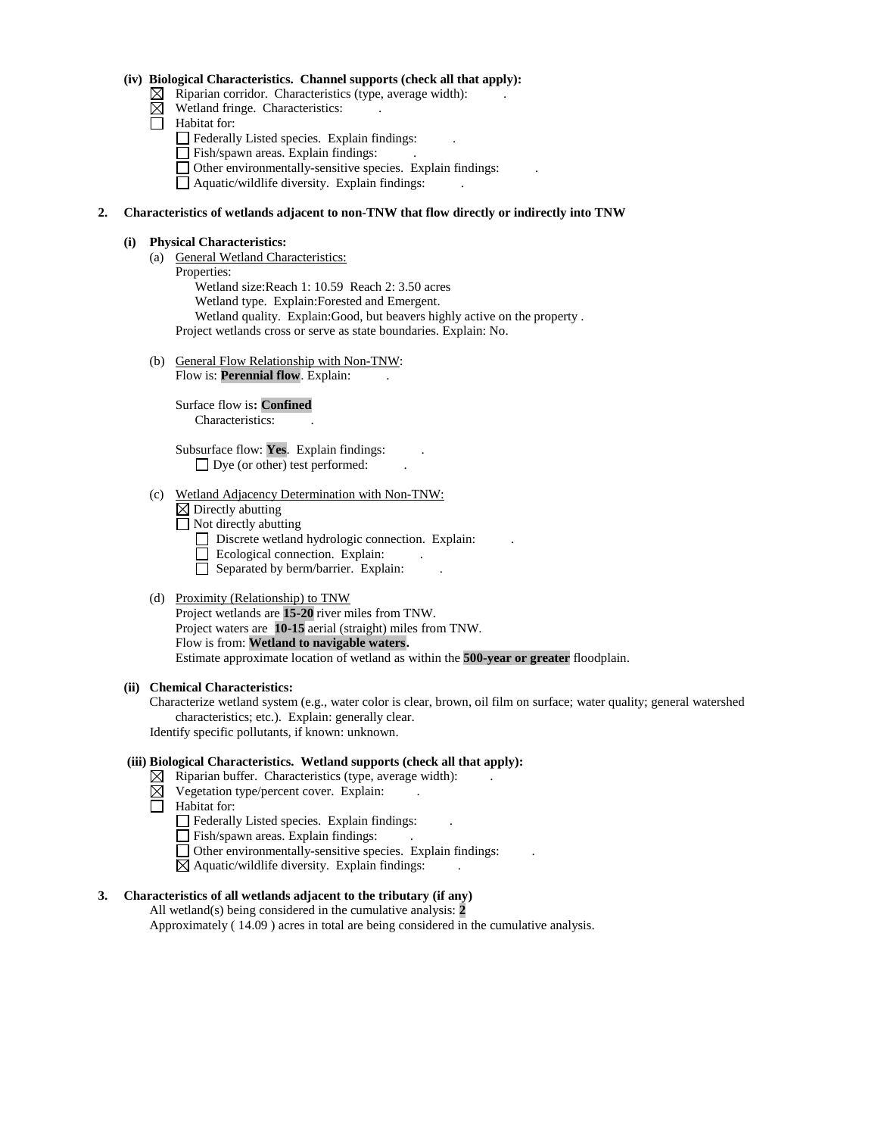### **(iv) Biological Characteristics. Channel supports (check all that apply):**

- $\boxtimes$  Riparian corridor. Characteristics (type, average width):
- $\boxtimes$  Wetland fringe. Characteristics:
- $\Box$  Habitat for:
	- Federally Listed species. Explain findings: .
	- Fish/spawn areas. Explain findings: .
	- Other environmentally-sensitive species. Explain findings: .

Aquatic/wildlife diversity. Explain findings: .

## **2. Characteristics of wetlands adjacent to non-TNW that flow directly or indirectly into TNW**

### **(i) Physical Characteristics:**

(a) General Wetland Characteristics:

Properties: Wetland size:Reach 1: 10.59 Reach 2: 3.50 acres Wetland type. Explain:Forested and Emergent. Wetland quality. Explain:Good, but beavers highly active on the property . Project wetlands cross or serve as state boundaries. Explain: No.

(b) General Flow Relationship with Non-TNW: Flow is: **Perennial flow**. Explain:

> Surface flow is**: Confined**  Characteristics: .

Subsurface flow: **Yes**. Explain findings: . □ Dye (or other) test performed:

#### (c) Wetland Adjacency Determination with Non-TNW:

 $\boxtimes$  Directly abutting

 $\Box$  Not directly abutting

- Discrete wetland hydrologic connection. Explain:
- $\Box$  Ecological connection. Explain:
- Separated by berm/barrier. Explain:

# (d) Proximity (Relationship) to TNW

Project wetlands are **15-20** river miles from TNW. Project waters are **10-15** aerial (straight) miles from TNW. Flow is from: **Wetland to navigable waters.** Estimate approximate location of wetland as within the **500-year or greater** floodplain.

## **(ii) Chemical Characteristics:**

Characterize wetland system (e.g., water color is clear, brown, oil film on surface; water quality; general watershed characteristics; etc.). Explain: generally clear. Identify specific pollutants, if known: unknown.

### **(iii) Biological Characteristics. Wetland supports (check all that apply):**

- $\boxtimes$  Riparian buffer. Characteristics (type, average width):
- ⊠ Vegetation type/percent cover. Explain: .
- **Habitat for:** 
	- Federally Listed species. Explain findings: .
	- Fish/spawn areas. Explain findings:
	- Other environmentally-sensitive species. Explain findings: .
	- $\boxtimes$  Aquatic/wildlife diversity. Explain findings:

## **3. Characteristics of all wetlands adjacent to the tributary (if any)**

All wetland(s) being considered in the cumulative analysis: **2** Approximately ( 14.09 ) acres in total are being considered in the cumulative analysis.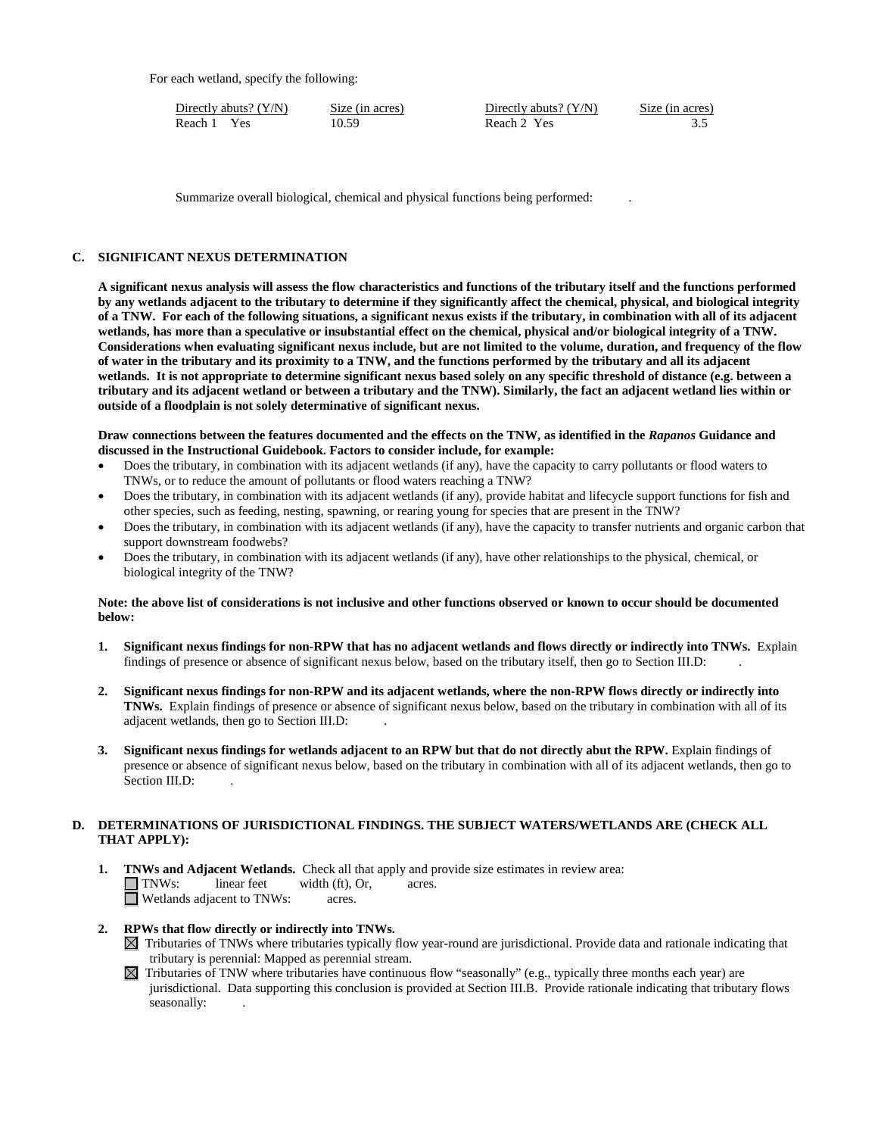For each wetland, specify the following:

Directly abuts? (Y/N) Size (in acres) Directly abuts? (Y/N) Size (in acres) Reach 1 Yes 10.59 Reach 2 Yes 3.5

Summarize overall biological, chemical and physical functions being performed: .

#### **C. SIGNIFICANT NEXUS DETERMINATION**

**A significant nexus analysis will assess the flow characteristics and functions of the tributary itself and the functions performed by any wetlands adjacent to the tributary to determine if they significantly affect the chemical, physical, and biological integrity of a TNW. For each of the following situations, a significant nexus exists if the tributary, in combination with all of its adjacent wetlands, has more than a speculative or insubstantial effect on the chemical, physical and/or biological integrity of a TNW. Considerations when evaluating significant nexus include, but are not limited to the volume, duration, and frequency of the flow of water in the tributary and its proximity to a TNW, and the functions performed by the tributary and all its adjacent wetlands. It is not appropriate to determine significant nexus based solely on any specific threshold of distance (e.g. between a tributary and its adjacent wetland or between a tributary and the TNW). Similarly, the fact an adjacent wetland lies within or outside of a floodplain is not solely determinative of significant nexus.** 

**Draw connections between the features documented and the effects on the TNW, as identified in the** *Rapanos* **Guidance and discussed in the Instructional Guidebook. Factors to consider include, for example:**

- Does the tributary, in combination with its adjacent wetlands (if any), have the capacity to carry pollutants or flood waters to TNWs, or to reduce the amount of pollutants or flood waters reaching a TNW?
- Does the tributary, in combination with its adjacent wetlands (if any), provide habitat and lifecycle support functions for fish and other species, such as feeding, nesting, spawning, or rearing young for species that are present in the TNW?
- Does the tributary, in combination with its adjacent wetlands (if any), have the capacity to transfer nutrients and organic carbon that support downstream foodwebs?
- Does the tributary, in combination with its adjacent wetlands (if any), have other relationships to the physical, chemical, or biological integrity of the TNW?

#### **Note: the above list of considerations is not inclusive and other functions observed or known to occur should be documented below:**

- **1. Significant nexus findings for non-RPW that has no adjacent wetlands and flows directly or indirectly into TNWs.** Explain findings of presence or absence of significant nexus below, based on the tributary itself, then go to Section III.D: .
- **2. Significant nexus findings for non-RPW and its adjacent wetlands, where the non-RPW flows directly or indirectly into TNWs.** Explain findings of presence or absence of significant nexus below, based on the tributary in combination with all of its adjacent wetlands, then go to Section III.D: .
- **3. Significant nexus findings for wetlands adjacent to an RPW but that do not directly abut the RPW.** Explain findings of presence or absence of significant nexus below, based on the tributary in combination with all of its adjacent wetlands, then go to Section III.D:

# **D. DETERMINATIONS OF JURISDICTIONAL FINDINGS. THE SUBJECT WATERS/WETLANDS ARE (CHECK ALL THAT APPLY):**

- **1. TNWs and Adjacent Wetlands.** Check all that apply and provide size estimates in review area: TNWs: linear feet width (ft), Or, acres. Wetlands adjacent to TNWs: acres.
- **2. RPWs that flow directly or indirectly into TNWs.**
	- $\boxtimes$  Tributaries of TNWs where tributaries typically flow year-round are jurisdictional. Provide data and rationale indicating that tributary is perennial: Mapped as perennial stream.
	- $\boxtimes$  Tributaries of TNW where tributaries have continuous flow "seasonally" (e.g., typically three months each year) are jurisdictional. Data supporting this conclusion is provided at Section III.B. Provide rationale indicating that tributary flows seasonally: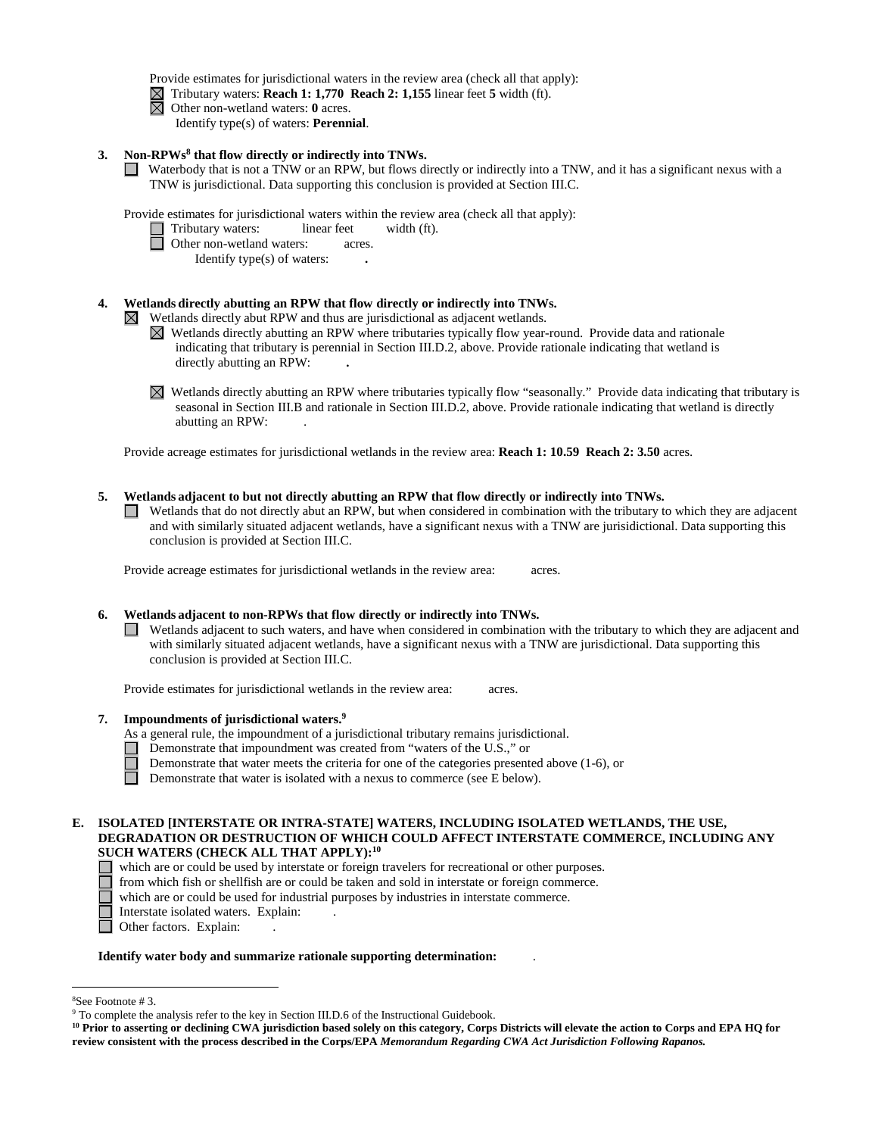Provide estimates for jurisdictional waters in the review area (check all that apply):

 $\boxed{\times}$  Tributary waters: **Reach 1: 1,770 Reach 2: 1,155** linear feet **5** width (ft).  $\boxed{\times}$  Other non-wetland waters: **0** acres.

Other non-wetland waters: **0** acres.

Identify type(s) of waters: **Perennial**.

**3. Non-RPWs8 that flow directly or indirectly into TNWs.**

Waterbody that is not a TNW or an RPW, but flows directly or indirectly into a TNW, and it has a significant nexus with a TNW is jurisdictional. Data supporting this conclusion is provided at Section III.C.

Provide estimates for jurisdictional waters within the review area (check all that apply):

□ Tributary waters: linear feet width (ft).

**D** Other non-wetland waters: acres.

Identify type(s) of waters: **.**

# **4. Wetlands directly abutting an RPW that flow directly or indirectly into TNWs.**

Wetlands directly abut RPW and thus are jurisdictional as adjacent wetlands.  $\bowtie$ 

- $\boxtimes$  Wetlands directly abutting an RPW where tributaries typically flow year-round. Provide data and rationale indicating that tributary is perennial in Section III.D.2, above. Provide rationale indicating that wetland is directly abutting an RPW: **.**
- Wetlands directly abutting an RPW where tributaries typically flow "seasonally." Provide data indicating that tributary is seasonal in Section III.B and rationale in Section III.D.2, above. Provide rationale indicating that wetland is directly abutting an RPW: .

Provide acreage estimates for jurisdictional wetlands in the review area: **Reach 1: 10.59 Reach 2: 3.50** acres.

## **5. Wetlands adjacent to but not directly abutting an RPW that flow directly or indirectly into TNWs.**

Wetlands that do not directly abut an RPW, but when considered in combination with the tributary to which they are adjacent and with similarly situated adjacent wetlands, have a significant nexus with a TNW are jurisidictional. Data supporting this conclusion is provided at Section III.C.

Provide acreage estimates for jurisdictional wetlands in the review area: acres.

# **6. Wetlands adjacent to non-RPWs that flow directly or indirectly into TNWs.**

 $\Box$  Wetlands adjacent to such waters, and have when considered in combination with the tributary to which they are adjacent and with similarly situated adjacent wetlands, have a significant nexus with a TNW are jurisdictional. Data supporting this conclusion is provided at Section III.C.

Provide estimates for jurisdictional wetlands in the review area: acres.

- **7. Impoundments of jurisdictional waters. 9**
	- As a general rule, the impoundment of a jurisdictional tributary remains jurisdictional.
		- Demonstrate that impoundment was created from "waters of the U.S.," or
		- Demonstrate that water meets the criteria for one of the categories presented above (1-6), or
	- $\Box$ Demonstrate that water is isolated with a nexus to commerce (see E below).

## **E. ISOLATED [INTERSTATE OR INTRA-STATE] WATERS, INCLUDING ISOLATED WETLANDS, THE USE, DEGRADATION OR DESTRUCTION OF WHICH COULD AFFECT INTERSTATE COMMERCE, INCLUDING ANY SUCH WATERS (CHECK ALL THAT APPLY):10**

- which are or could be used by interstate or foreign travelers for recreational or other purposes.
	- from which fish or shellfish are or could be taken and sold in interstate or foreign commerce.
	- which are or could be used for industrial purposes by industries in interstate commerce.
	- Interstate isolated waters.Explain: .
- □ Other factors. Explain:

#### **Identify water body and summarize rationale supporting determination:** .

 $\frac{1}{8}$ 

<sup>&</sup>lt;sup>8</sup>See Footnote # 3. 9  $\degree$  3. 9 To complete the analysis refer to the key in Section III.D.6 of the Instructional Guidebook.

**<sup>10</sup> Prior to asserting or declining CWA jurisdiction based solely on this category, Corps Districts will elevate the action to Corps and EPA HQ for review consistent with the process described in the Corps/EPA** *Memorandum Regarding CWA Act Jurisdiction Following Rapanos.*